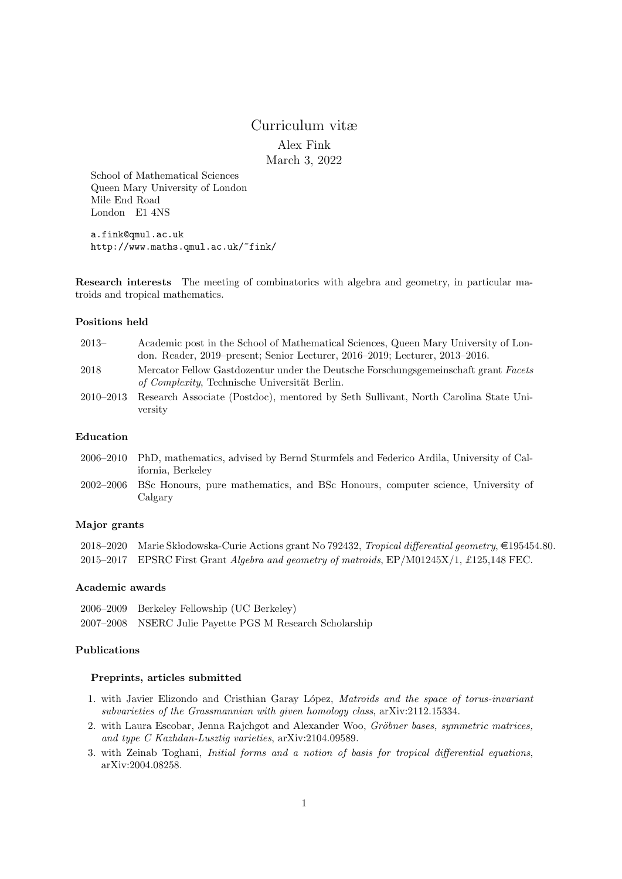# Curriculum vitæ Alex Fink March 3, 2022

School of Mathematical Sciences Queen Mary University of London Mile End Road London E1 4NS

a.fink@qmul.ac.uk http://www.maths.qmul.ac.uk/~fink/

Research interests The meeting of combinatorics with algebra and geometry, in particular matroids and tropical mathematics.

#### Positions held

| $2013-$       | Academic post in the School of Mathematical Sciences, Queen Mary University of Lon-                                                          |
|---------------|----------------------------------------------------------------------------------------------------------------------------------------------|
|               | don. Reader, 2019–present; Senior Lecturer, 2016–2019; Lecturer, 2013–2016.                                                                  |
| 2018          | Mercator Fellow Gastdozentur under the Deutsche Forschungsgemeinschaft grant Facets<br><i>of Complexity</i> , Technische Universität Berlin. |
| $2010 - 2013$ | Research Associate (Postdoc), mentored by Seth Sullivant, North Carolina State Uni-<br>versity                                               |

#### Education

- 2006–2010 PhD, mathematics, advised by Bernd Sturmfels and Federico Ardila, University of California, Berkeley
- 2002–2006 BSc Honours, pure mathematics, and BSc Honours, computer science, University of Calgary

## Major grants

2018–2020 Marie Skłodowska-Curie Actions grant No 792432, Tropical differential geometry, €195454.80. 2015–2017 EPSRC First Grant Algebra and geometry of matroids, EP/M01245X/1, £125,148 FEC.

#### Academic awards

2006–2009 Berkeley Fellowship (UC Berkeley) 2007–2008 NSERC Julie Payette PGS M Research Scholarship

# Publications

#### Preprints, articles submitted

- 1. with Javier Elizondo and Cristhian Garay López, Matroids and the space of torus-invariant subvarieties of the Grassmannian with given homology class, arXiv:2112.15334.
- 2. with Laura Escobar, Jenna Rajchgot and Alexander Woo, Gröbner bases, symmetric matrices, and type C Kazhdan-Lusztig varieties, arXiv:2104.09589.
- 3. with Zeinab Toghani, Initial forms and a notion of basis for tropical differential equations, arXiv:2004.08258.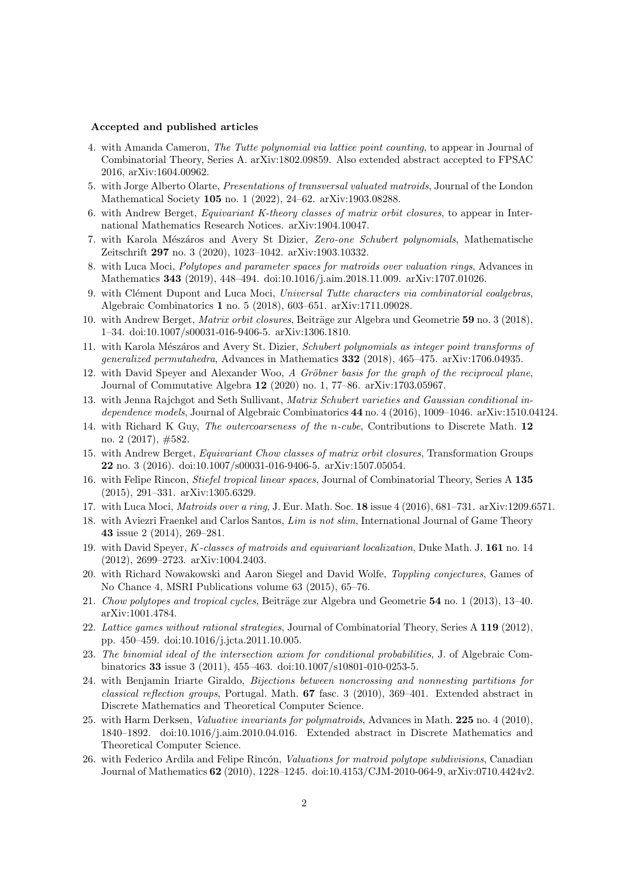#### Accepted and published articles

- 4. with Amanda Cameron, The Tutte polynomial via lattice point counting, to appear in Journal of Combinatorial Theory, Series A. arXiv:1802.09859. Also extended abstract accepted to FPSAC 2016, arXiv:1604.00962.
- 5. with Jorge Alberto Olarte, Presentations of transversal valuated matroids, Journal of the London Mathematical Society 105 no. 1 (2022), 24–62. arXiv:1903.08288.
- 6. with Andrew Berget, Equivariant K-theory classes of matrix orbit closures, to appear in International Mathematics Research Notices. arXiv:1904.10047.
- 7. with Karola Mészáros and Avery St Dizier, Zero-one Schubert polynomials, Mathematische Zeitschrift 297 no. 3 (2020), 1023–1042. arXiv:1903.10332.
- 8. with Luca Moci, Polytopes and parameter spaces for matroids over valuation rings, Advances in Mathematics 343 (2019), 448–494. doi:10.1016/j.aim.2018.11.009. arXiv:1707.01026.
- 9. with Clément Dupont and Luca Moci, Universal Tutte characters via combinatorial coalgebras, Algebraic Combinatorics 1 no. 5 (2018), 603–651. arXiv:1711.09028.
- 10. with Andrew Berget, *Matrix orbit closures*, Beiträge zur Algebra und Geometrie 59 no. 3 (2018), 1–34. doi:10.1007/s00031-016-9406-5. arXiv:1306.1810.
- 11. with Karola Mészáros and Avery St. Dizier, Schubert polynomials as integer point transforms of generalized permutahedra, Advances in Mathematics 332 (2018), 465–475. arXiv:1706.04935.
- 12. with David Speyer and Alexander Woo, A Gröbner basis for the graph of the reciprocal plane, Journal of Commutative Algebra 12 (2020) no. 1, 77–86. arXiv:1703.05967.
- 13. with Jenna Rajchgot and Seth Sullivant, Matrix Schubert varieties and Gaussian conditional independence models, Journal of Algebraic Combinatorics 44 no. 4 (2016), 1009–1046. arXiv:1510.04124.
- 14. with Richard K Guy, The outercoarseness of the n-cube, Contributions to Discrete Math. 12 no. 2 (2017), #582.
- 15. with Andrew Berget, *Equivariant Chow classes of matrix orbit closures*, Transformation Groups 22 no. 3 (2016). doi:10.1007/s00031-016-9406-5. arXiv:1507.05054.
- 16. with Felipe Rincon, *Stiefel tropical linear spaces*, Journal of Combinatorial Theory, Series A 135 (2015), 291–331. arXiv:1305.6329.
- 17. with Luca Moci, Matroids over a ring, J. Eur. Math. Soc. 18 issue 4 (2016), 681-731. arXiv:1209.6571.
- 18. with Aviezri Fraenkel and Carlos Santos, Lim is not slim, International Journal of Game Theory 43 issue 2 (2014), 269–281.
- 19. with David Speyer, K-classes of matroids and equivariant localization, Duke Math. J. 161 no. 14 (2012), 2699–2723. arXiv:1004.2403.
- 20. with Richard Nowakowski and Aaron Siegel and David Wolfe, Toppling conjectures, Games of No Chance 4, MSRI Publications volume 63 (2015), 65–76.
- 21. Chow polytopes and tropical cycles, Beiträge zur Algebra und Geometrie  $54$  no. 1 (2013), 13–40. arXiv:1001.4784.
- 22. Lattice games without rational strategies, Journal of Combinatorial Theory, Series A 119 (2012), pp. 450–459. doi:10.1016/j.jcta.2011.10.005.
- 23. The binomial ideal of the intersection axiom for conditional probabilities, J. of Algebraic Combinatorics 33 issue 3 (2011), 455–463. doi:10.1007/s10801-010-0253-5.
- 24. with Benjamin Iriarte Giraldo, Bijections between noncrossing and nonnesting partitions for classical reflection groups, Portugal. Math. 67 fasc. 3 (2010), 369–401. Extended abstract in Discrete Mathematics and Theoretical Computer Science.
- 25. with Harm Derksen, *Valuative invariants for polymatroids*, Advances in Math. 225 no. 4 (2010), 1840–1892. doi:10.1016/j.aim.2010.04.016. Extended abstract in Discrete Mathematics and Theoretical Computer Science.
- 26. with Federico Ardila and Felipe Rincón, Valuations for matroid polytope subdivisions, Canadian Journal of Mathematics 62 (2010), 1228–1245. doi:10.4153/CJM-2010-064-9, arXiv:0710.4424v2.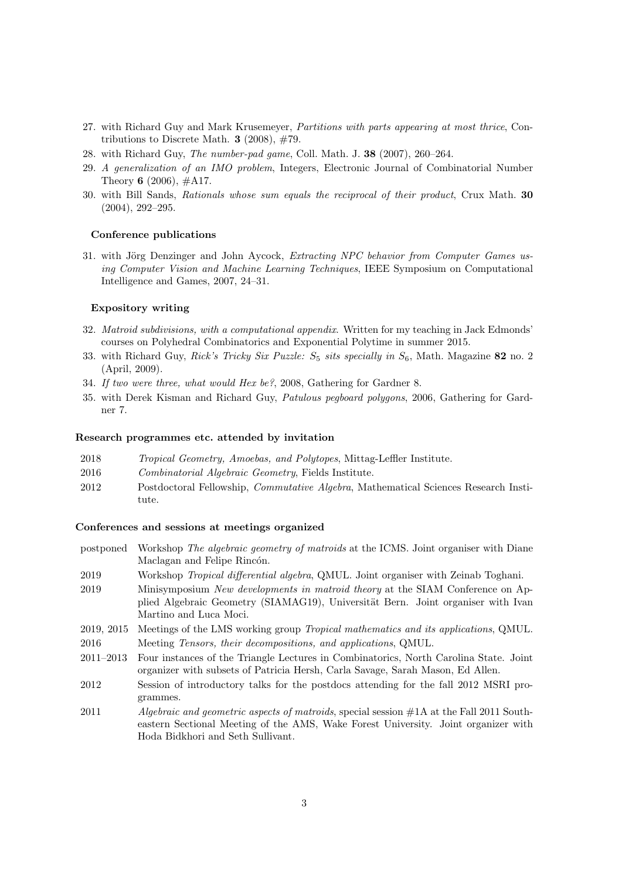- 27. with Richard Guy and Mark Krusemeyer, Partitions with parts appearing at most thrice, Contributions to Discrete Math.  $3$  (2008),  $\#79$ .
- 28. with Richard Guy, The number-pad game, Coll. Math. J. 38 (2007), 260–264.
- 29. A generalization of an IMO problem, Integers, Electronic Journal of Combinatorial Number Theory 6 (2006),  $\#A17$ .
- 30. with Bill Sands, Rationals whose sum equals the reciprocal of their product, Crux Math. 30 (2004), 292–295.

#### Conference publications

31. with Jörg Denzinger and John Aycock, Extracting NPC behavior from Computer Games using Computer Vision and Machine Learning Techniques, IEEE Symposium on Computational Intelligence and Games, 2007, 24–31.

#### Expository writing

- 32. Matroid subdivisions, with a computational appendix. Written for my teaching in Jack Edmonds' courses on Polyhedral Combinatorics and Exponential Polytime in summer 2015.
- 33. with Richard Guy, Rick's Tricky Six Puzzle:  $S_5$  sits specially in  $S_6$ , Math. Magazine 82 no. 2 (April, 2009).
- 34. If two were three, what would Hex be?, 2008, Gathering for Gardner 8.
- 35. with Derek Kisman and Richard Guy, Patulous pegboard polygons, 2006, Gathering for Gardner 7.

#### Research programmes etc. attended by invitation

- 2018 Tropical Geometry, Amoebas, and Polytopes, Mittag-Leffler Institute.
- 2016 Combinatorial Algebraic Geometry, Fields Institute.
- 2012 Postdoctoral Fellowship, Commutative Algebra, Mathematical Sciences Research Institute.

#### Conferences and sessions at meetings organized

- postponed Workshop The algebraic geometry of matroids at the ICMS. Joint organiser with Diane Maclagan and Felipe Rincón.
- 2019 Workshop Tropical differential algebra, QMUL. Joint organiser with Zeinab Toghani.
- 2019 Minisymposium New developments in matroid theory at the SIAM Conference on Applied Algebraic Geometry (SIAMAG19), Universität Bern. Joint organiser with Ivan Martino and Luca Moci.
- 2019, 2015 Meetings of the LMS working group Tropical mathematics and its applications, QMUL.

2016 Meeting Tensors, their decompositions, and applications, QMUL.

- 2011–2013 Four instances of the Triangle Lectures in Combinatorics, North Carolina State. Joint organizer with subsets of Patricia Hersh, Carla Savage, Sarah Mason, Ed Allen.
- 2012 Session of introductory talks for the postdocs attending for the fall 2012 MSRI programmes.
- 2011 *Algebraic and geometric aspects of matroids*, special session  $\#1A$  at the Fall 2011 Southeastern Sectional Meeting of the AMS, Wake Forest University. Joint organizer with Hoda Bidkhori and Seth Sullivant.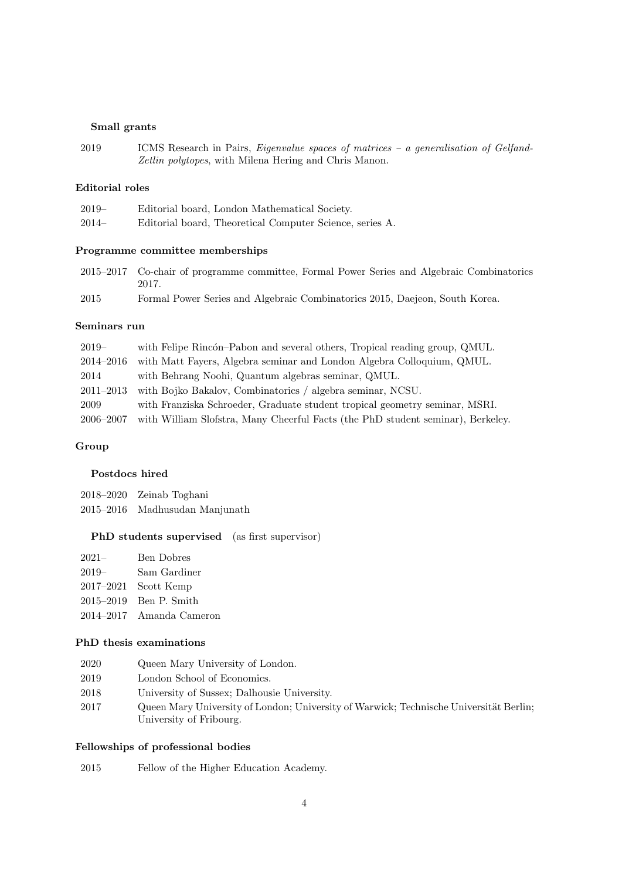# Small grants

2019 ICMS Research in Pairs, Eigenvalue spaces of matrices – a generalisation of Gelfand-Zetlin polytopes, with Milena Hering and Chris Manon.

# Editorial roles

| $2019-$ | Editorial board, London Mathematical Society.            |
|---------|----------------------------------------------------------|
| $2014-$ | Editorial board, Theoretical Computer Science, series A. |

# Programme committee memberships

|      | 2015–2017 Co-chair of programme committee, Formal Power Series and Algebraic Combinatorics |
|------|--------------------------------------------------------------------------------------------|
|      | 2017.                                                                                      |
| 2015 | Formal Power Series and Algebraic Combinatorics 2015, Daejeon, South Korea.                |

## Seminars run

| $2019-$       | with Felipe Rincón-Pabon and several others, Tropical reading group, QMUL.      |
|---------------|---------------------------------------------------------------------------------|
| 2014–2016     | with Matt Fayers, Algebra seminar and London Algebra Colloquium, QMUL.          |
| 2014          | with Behrang Noohi, Quantum algebras seminar, QMUL.                             |
| $2011 - 2013$ | with Bojko Bakalov, Combinatorics / algebra seminar, NCSU.                      |
| 2009          | with Franziska Schroeder, Graduate student tropical geometry seminar, MSRI.     |
| 2006-2007     | with William Slofstra, Many Cheerful Facts (the PhD student seminar), Berkeley. |

# Group

# Postdocs hired

2018–2020 Zeinab Toghani 2015–2016 Madhusudan Manjunath

# PhD students supervised (as first supervisor)

| $2021 -$ | <b>Ben Dobres</b>        |
|----------|--------------------------|
| $2019-$  | Sam Gardiner             |
|          | $2017-2021$ Scott Kemp   |
|          | 2015–2019 Ben P. Smith   |
|          | 2014–2017 Amanda Cameron |
|          |                          |

# PhD thesis examinations

| 2020 |  |  | Queen Mary University of London. |  |  |
|------|--|--|----------------------------------|--|--|
|------|--|--|----------------------------------|--|--|

- 2019 London School of Economics.
- 2018 University of Sussex; Dalhousie University.
- 2017 Queen Mary University of London; University of Warwick; Technische Universität Berlin; University of Fribourg.

# Fellowships of professional bodies

| 2015 |  |  |  | Fellow of the Higher Education Academy. |  |
|------|--|--|--|-----------------------------------------|--|
|------|--|--|--|-----------------------------------------|--|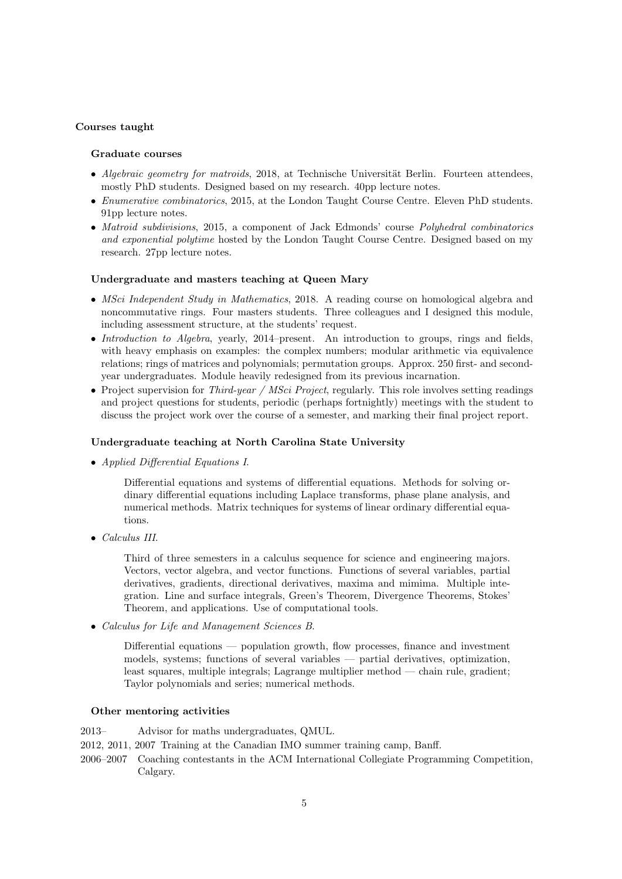#### Courses taught

# Graduate courses

- Algebraic geometry for matroids, 2018, at Technische Universität Berlin. Fourteen attendees, mostly PhD students. Designed based on my research. 40pp lecture notes.
- Enumerative combinatorics, 2015, at the London Taught Course Centre. Eleven PhD students. 91pp lecture notes.
- Matroid subdivisions, 2015, a component of Jack Edmonds' course *Polyhedral combinatorics* and exponential polytime hosted by the London Taught Course Centre. Designed based on my research. 27pp lecture notes.

## Undergraduate and masters teaching at Queen Mary

- *MSci Independent Study in Mathematics*, 2018. A reading course on homological algebra and noncommutative rings. Four masters students. Three colleagues and I designed this module, including assessment structure, at the students' request.
- Introduction to Algebra, yearly, 2014–present. An introduction to groups, rings and fields, with heavy emphasis on examples: the complex numbers; modular arithmetic via equivalence relations; rings of matrices and polynomials; permutation groups. Approx. 250 first- and secondyear undergraduates. Module heavily redesigned from its previous incarnation.
- Project supervision for *Third-year / MSci Project*, regularly. This role involves setting readings and project questions for students, periodic (perhaps fortnightly) meetings with the student to discuss the project work over the course of a semester, and marking their final project report.

#### Undergraduate teaching at North Carolina State University

• Applied Differential Equations I.

Differential equations and systems of differential equations. Methods for solving ordinary differential equations including Laplace transforms, phase plane analysis, and numerical methods. Matrix techniques for systems of linear ordinary differential equations.

• Calculus III.

Third of three semesters in a calculus sequence for science and engineering majors. Vectors, vector algebra, and vector functions. Functions of several variables, partial derivatives, gradients, directional derivatives, maxima and mimima. Multiple integration. Line and surface integrals, Green's Theorem, Divergence Theorems, Stokes' Theorem, and applications. Use of computational tools.

• Calculus for Life and Management Sciences B.

Differential equations — population growth, flow processes, finance and investment models, systems; functions of several variables — partial derivatives, optimization, least squares, multiple integrals; Lagrange multiplier method — chain rule, gradient; Taylor polynomials and series; numerical methods.

#### Other mentoring activities

- 2013– Advisor for maths undergraduates, QMUL.
- 2012, 2011, 2007 Training at the Canadian IMO summer training camp, Banff.
- 2006–2007 Coaching contestants in the ACM International Collegiate Programming Competition, Calgary.